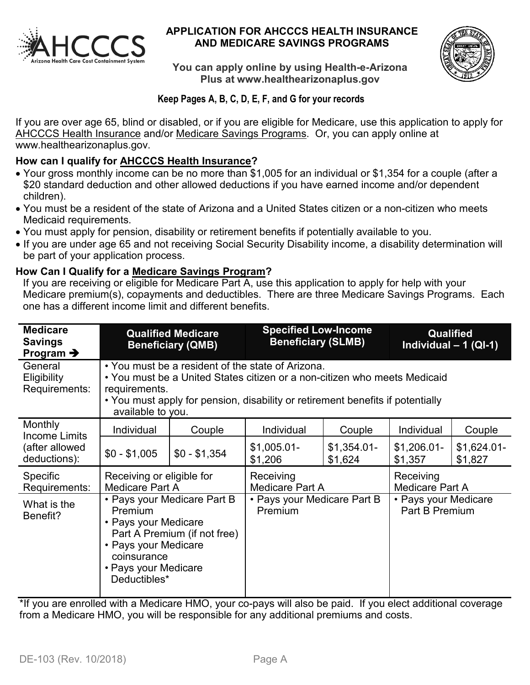

#### **APPLICATION FOR AHCCCS HEALTH INSURANCE AND MEDICARE SAVINGS PROGRAMS**



**You can apply online by using Health-e-Arizona Plus at www.healthearizonaplus.gov**

## **Keep Pages A, B, C, D, E, F, and G for your records**

If you are over age 65, blind or disabled, or if you are eligible for Medicare, use this application to apply for AHCCCS Health Insurance and/or Medicare Savings Programs. Or, you can apply online at www.healthearizonaplus.gov.

#### **How can I qualify for AHCCCS Health Insurance?**

- Your gross monthly income can be no more than \$1,005 for an individual or \$1,354 for a couple (after a \$20 standard deduction and other allowed deductions if you have earned income and/or dependent children).
- You must be a resident of the state of Arizona and a United States citizen or a non-citizen who meets Medicaid requirements.
- You must apply for pension, disability or retirement benefits if potentially available to you.
- If you are under age 65 and not receiving Social Security Disability income, a disability determination will be part of your application process.

#### **How Can I Qualify for a Medicare Savings Program?**

If you are receiving or eligible for Medicare Part A, use this application to apply for help with your Medicare premium(s), copayments and deductibles. There are three Medicare Savings Programs. Each one has a different income limit and different benefits.

| <b>Medicare</b><br><b>Savings</b><br>Program $\rightarrow$ |                                                                                                                                                                                                                                                        | <b>Qualified Medicare</b><br><b>Beneficiary (QMB)</b> | <b>Specified Low-Income</b><br><b>Beneficiary (SLMB)</b> |                         | Qualified<br>Individual $- 1$ (QI-1)   |                         |  |
|------------------------------------------------------------|--------------------------------------------------------------------------------------------------------------------------------------------------------------------------------------------------------------------------------------------------------|-------------------------------------------------------|----------------------------------------------------------|-------------------------|----------------------------------------|-------------------------|--|
| General<br>Eligibility<br>Requirements:                    | • You must be a resident of the state of Arizona.<br>• You must be a United States citizen or a non-citizen who meets Medicaid<br>requirements.<br>• You must apply for pension, disability or retirement benefits if potentially<br>available to you. |                                                       |                                                          |                         |                                        |                         |  |
| Monthly<br>Income Limits                                   | Individual                                                                                                                                                                                                                                             | Couple                                                | <b>Individual</b>                                        | Couple                  | Individual                             | Couple                  |  |
| (after allowed<br>deductions):                             | $$0 - $1,005$                                                                                                                                                                                                                                          | $$0 - $1,354$                                         | $$1,005.01-$<br>\$1,206                                  | $$1,354.01-$<br>\$1,624 | $$1,206.01-$<br>\$1,357                | $$1,624.01-$<br>\$1,827 |  |
| Specific<br>Requirements:                                  | Receiving or eligible for<br><b>Medicare Part A</b>                                                                                                                                                                                                    |                                                       | Receiving<br>Medicare Part A                             |                         | Receiving<br><b>Medicare Part A</b>    |                         |  |
| What is the<br>Benefit?                                    | • Pays your Medicare Part B<br>Premium<br>• Pays your Medicare<br>Part A Premium (if not free)<br>• Pays your Medicare<br>coinsurance<br>• Pays your Medicare<br>Deductibles*                                                                          |                                                       | • Pays your Medicare Part B<br>Premium                   |                         | • Pays your Medicare<br>Part B Premium |                         |  |

\*If you are enrolled with a Medicare HMO, your co-pays will also be paid. If you elect additional coverage from a Medicare HMO, you will be responsible for any additional premiums and costs.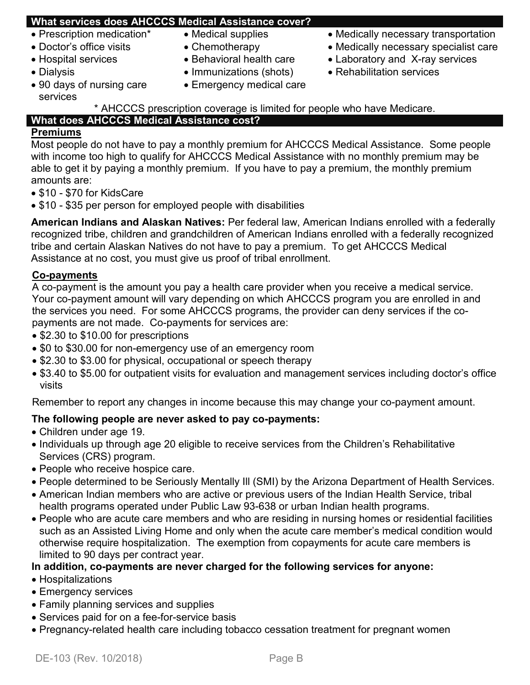## **What services does AHCCCS Medical Assistance cover?**

- 
- 
- 
- 
- 90 days of nursing care services
- 
- 
- 
- Dialysis Immunizations (shots) Rehabilitation services
	- Emergency medical care
- Prescription medication\* Medical supplies Medically necessary transportation
- Doctor's office visits Chemotherapy • Medically necessary specialist care
- Hospital services Behavioral health care Laboratory and X-ray services
	-

\* AHCCCS prescription coverage is limited for people who have Medicare. **What does AHCCCS Medical Assistance cost?**

## **Premiums**

Most people do not have to pay a monthly premium for AHCCCS Medical Assistance. Some people with income too high to qualify for AHCCCS Medical Assistance with no monthly premium may be able to get it by paying a monthly premium. If you have to pay a premium, the monthly premium amounts are:

- \$10 \$70 for KidsCare
- \$10 \$35 per person for employed people with disabilities

**American Indians and Alaskan Natives:** Per federal law, American Indians enrolled with a federally recognized tribe, children and grandchildren of American Indians enrolled with a federally recognized tribe and certain Alaskan Natives do not have to pay a premium. To get AHCCCS Medical Assistance at no cost, you must give us proof of tribal enrollment.

## **Co-payments**

A co-payment is the amount you pay a health care provider when you receive a medical service. Your co-payment amount will vary depending on which AHCCCS program you are enrolled in and the services you need. For some AHCCCS programs, the provider can deny services if the copayments are not made. Co-payments for services are:

- \$2.30 to \$10.00 for prescriptions
- \$0 to \$30.00 for non-emergency use of an emergency room
- \$2.30 to \$3.00 for physical, occupational or speech therapy
- \$3.40 to \$5.00 for outpatient visits for evaluation and management services including doctor's office visits

Remember to report any changes in income because this may change your co-payment amount.

## **The following people are never asked to pay co-payments:**

- Children under age 19.
- Individuals up through age 20 eligible to receive services from the Children's Rehabilitative Services (CRS) program.
- People who receive hospice care.
- People determined to be Seriously Mentally Ill (SMI) by the Arizona Department of Health Services.
- American Indian members who are active or previous users of the Indian Health Service, tribal health programs operated under Public Law 93-638 or urban Indian health programs.
- People who are acute care members and who are residing in nursing homes or residential facilities such as an Assisted Living Home and only when the acute care member's medical condition would otherwise require hospitalization. The exemption from copayments for acute care members is limited to 90 days per contract year.

## **In addition, co-payments are never charged for the following services for anyone:**

- Hospitalizations
- Emergency services
- Family planning services and supplies
- Services paid for on a fee-for-service basis
- Pregnancy-related health care including tobacco cessation treatment for pregnant women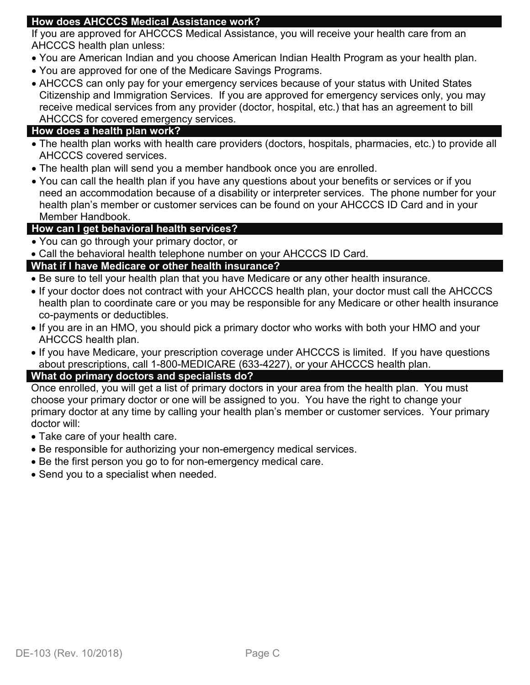## **How does AHCCCS Medical Assistance work?**

If you are approved for AHCCCS Medical Assistance, you will receive your health care from an AHCCCS health plan unless:

- You are American Indian and you choose American Indian Health Program as your health plan.
- You are approved for one of the Medicare Savings Programs.
- AHCCCS can only pay for your emergency services because of your status with United States Citizenship and Immigration Services. If you are approved for emergency services only, you may receive medical services from any provider (doctor, hospital, etc.) that has an agreement to bill AHCCCS for covered emergency services.

#### **How does a health plan work?**

- The health plan works with health care providers (doctors, hospitals, pharmacies, etc.) to provide all AHCCCS covered services.
- The health plan will send you a member handbook once you are enrolled.
- You can call the health plan if you have any questions about your benefits or services or if you need an accommodation because of a disability or interpreter services. The phone number for your health plan's member or customer services can be found on your AHCCCS ID Card and in your Member Handbook.

#### **How can I get behavioral health services?**

- You can go through your primary doctor, or
- Call the behavioral health telephone number on your AHCCCS ID Card.

#### **What if I have Medicare or other health insurance?**

- Be sure to tell your health plan that you have Medicare or any other health insurance.
- If your doctor does not contract with your AHCCCS health plan, your doctor must call the AHCCCS health plan to coordinate care or you may be responsible for any Medicare or other health insurance co-payments or deductibles.
- If you are in an HMO, you should pick a primary doctor who works with both your HMO and your AHCCCS health plan.
- If you have Medicare, your prescription coverage under AHCCCS is limited. If you have questions about prescriptions, call 1-800-MEDICARE (633-4227), or your AHCCCS health plan.

#### **What do primary doctors and specialists do?**

Once enrolled, you will get a list of primary doctors in your area from the health plan. You must choose your primary doctor or one will be assigned to you. You have the right to change your primary doctor at any time by calling your health plan's member or customer services. Your primary doctor will:

- Take care of your health care.
- Be responsible for authorizing your non-emergency medical services.
- Be the first person you go to for non-emergency medical care.
- Send you to a specialist when needed.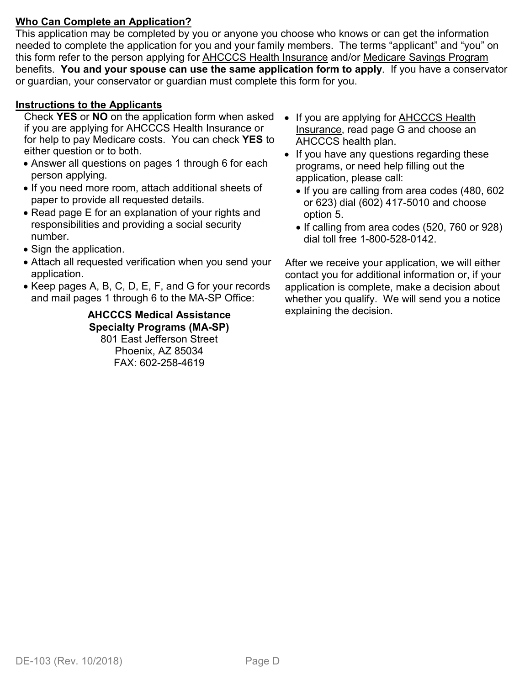## **Who Can Complete an Application?**

This application may be completed by you or anyone you choose who knows or can get the information needed to complete the application for you and your family members. The terms "applicant" and "you" on this form refer to the person applying for AHCCCS Health Insurance and/or Medicare Savings Program benefits. **You and your spouse can use the same application form to apply**. If you have a conservator or guardian, your conservator or guardian must complete this form for you.

#### **Instructions to the Applicants**

Check **YES** or **NO** on the application form when asked if you are applying for AHCCCS Health Insurance or for help to pay Medicare costs. You can check **YES** to either question or to both.

- Answer all questions on pages 1 through 6 for each person applying.
- If you need more room, attach additional sheets of paper to provide all requested details.
- Read page E for an explanation of your rights and responsibilities and providing a social security number.
- Sign the application.
- Attach all requested verification when you send your application.
- Keep pages A, B, C, D, E, F, and G for your records and mail pages 1 through 6 to the MA-SP Office:

**AHCCCS Medical Assistance Specialty Programs (MA-SP)** 801 East Jefferson Street Phoenix, AZ 85034 FAX: 602-258-4619

- If you are applying for **AHCCCS** Health Insurance, read page G and choose an AHCCCS health plan.
- If you have any questions regarding these programs, or need help filling out the application, please call:
	- If you are calling from area codes (480, 602 or 623) dial (602) 417-5010 and choose option 5.
	- If calling from area codes (520, 760 or 928) dial toll free 1-800-528-0142.

After we receive your application, we will either contact you for additional information or, if your application is complete, make a decision about whether you qualify. We will send you a notice explaining the decision.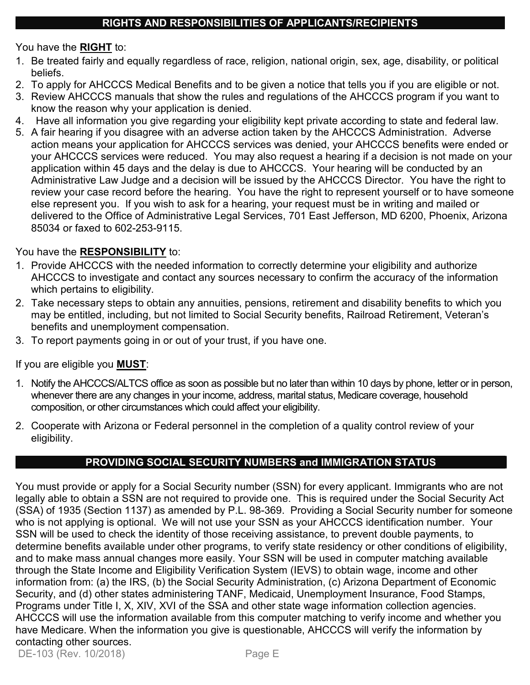You have the **RIGHT** to:

- 1. Be treated fairly and equally regardless of race, religion, national origin, sex, age, disability, or political beliefs.
- 2. To apply for AHCCCS Medical Benefits and to be given a notice that tells you if you are eligible or not.
- 3. Review AHCCCS manuals that show the rules and regulations of the AHCCCS program if you want to know the reason why your application is denied.
- 4. Have all information you give regarding your eligibility kept private according to state and federal law.
- 5. A fair hearing if you disagree with an adverse action taken by the AHCCCS Administration. Adverse action means your application for AHCCCS services was denied, your AHCCCS benefits were ended or your AHCCCS services were reduced. You may also request a hearing if a decision is not made on your application within 45 days and the delay is due to AHCCCS. Your hearing will be conducted by an Administrative Law Judge and a decision will be issued by the AHCCCS Director. You have the right to review your case record before the hearing. You have the right to represent yourself or to have someone else represent you. If you wish to ask for a hearing, your request must be in writing and mailed or delivered to the Office of Administrative Legal Services, 701 East Jefferson, MD 6200, Phoenix, Arizona 85034 or faxed to 602-253-9115.

## You have the **RESPONSIBILITY** to:

- 1. Provide AHCCCS with the needed information to correctly determine your eligibility and authorize AHCCCS to investigate and contact any sources necessary to confirm the accuracy of the information which pertains to eligibility.
- 2. Take necessary steps to obtain any annuities, pensions, retirement and disability benefits to which you may be entitled, including, but not limited to Social Security benefits, Railroad Retirement, Veteran's benefits and unemployment compensation.
- 3. To report payments going in or out of your trust, if you have one.

If you are eligible you **MUST**:

- 1. Notify the AHCCCS/ALTCS office as soon as possible but no later than within 10 days by phone, letter or in person, whenever there are any changes in your income, address, marital status, Medicare coverage, household composition, or other circumstances which could affect your eligibility.
- 2. Cooperate with Arizona or Federal personnel in the completion of a quality control review of your eligibility.

## **PROVIDING SOCIAL SECURITY NUMBERS and IMMIGRATION STATUS**

You must provide or apply for a Social Security number (SSN) for every applicant. Immigrants who are not legally able to obtain a SSN are not required to provide one. This is required under the Social Security Act (SSA) of 1935 (Section 1137) as amended by P.L. 98-369. Providing a Social Security number for someone who is not applying is optional. We will not use your SSN as your AHCCCS identification number. Your SSN will be used to check the identity of those receiving assistance, to prevent double payments, to determine benefits available under other programs, to verify state residency or other conditions of eligibility, and to make mass annual changes more easily. Your SSN will be used in computer matching available through the State Income and Eligibility Verification System (IEVS) to obtain wage, income and other information from: (a) the IRS, (b) the Social Security Administration, (c) Arizona Department of Economic Security, and (d) other states administering TANF, Medicaid, Unemployment Insurance, Food Stamps, Programs under Title I, X, XIV, XVI of the SSA and other state wage information collection agencies. AHCCCS will use the information available from this computer matching to verify income and whether you have Medicare. When the information you give is questionable, AHCCCS will verify the information by contacting other sources. DE-103 (Rev. 10/2018) Page E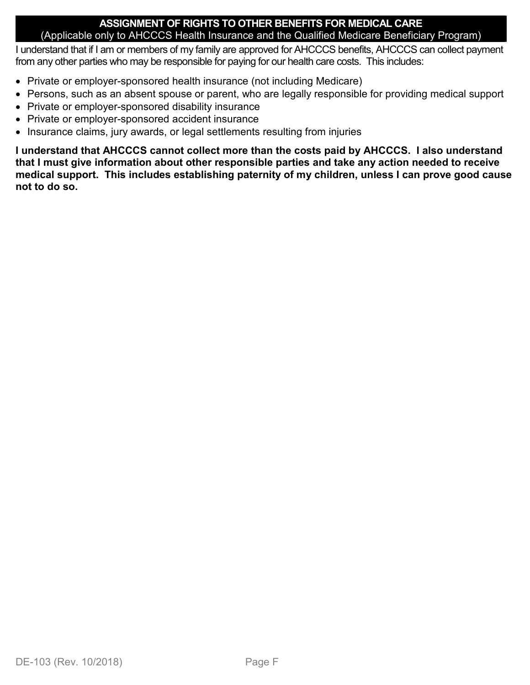#### **ASSIGNMENT OF RIGHTS TO OTHER BENEFITS FOR MEDICAL CARE** (Applicable only to AHCCCS Health Insurance and the Qualified Medicare Beneficiary Program)

I understand that if I am or members of my family are approved for AHCCCS benefits, AHCCCS can collect payment from any other parties who may be responsible for paying for our health care costs. This includes:

- Private or employer-sponsored health insurance (not including Medicare)
- Persons, such as an absent spouse or parent, who are legally responsible for providing medical support
- Private or employer-sponsored disability insurance
- Private or employer-sponsored accident insurance
- Insurance claims, jury awards, or legal settlements resulting from injuries

**I understand that AHCCCS cannot collect more than the costs paid by AHCCCS. I also understand that I must give information about other responsible parties and take any action needed to receive medical support. This includes establishing paternity of my children, unless I can prove good cause not to do so.**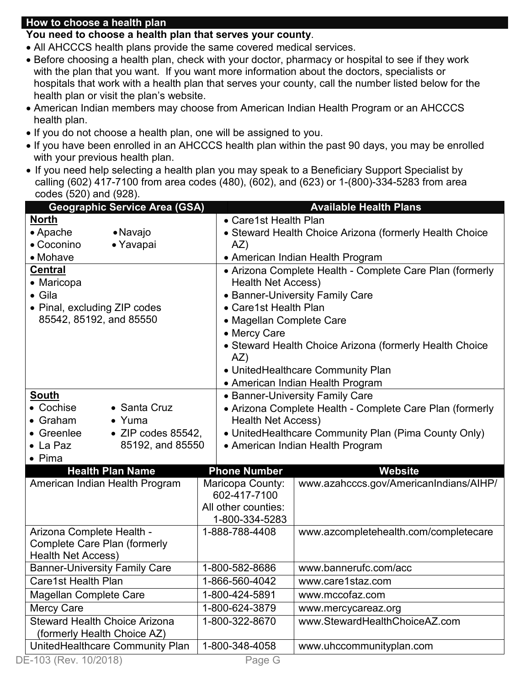#### **How to choose a health plan**

#### **You need to choose a health plan that serves your county**.

- All AHCCCS health plans provide the same covered medical services.
- Before choosing a health plan, check with your doctor, pharmacy or hospital to see if they work with the plan that you want. If you want more information about the doctors, specialists or hospitals that work with a health plan that serves your county, call the number listed below for the health plan or visit the plan's website.
- American Indian members may choose from American Indian Health Program or an AHCCCS health plan.
- If you do not choose a health plan, one will be assigned to you.
- If you have been enrolled in an AHCCCS health plan within the past 90 days, you may be enrolled with your previous health plan.
- If you need help selecting a health plan you may speak to a Beneficiary Support Specialist by calling (602) 417-7100 from area codes (480), (602), and (623) or 1-(800)-334-5283 from area codes (520) and (928).

| <b>Geographic Service Area (GSA)</b>     |                           | <b>Available Health Plans</b>                                                         |  |  |  |  |  |
|------------------------------------------|---------------------------|---------------------------------------------------------------------------------------|--|--|--|--|--|
| <b>North</b>                             | • Care1st Health Plan     |                                                                                       |  |  |  |  |  |
| • Apache<br>• Navajo                     |                           | • Steward Health Choice Arizona (formerly Health Choice                               |  |  |  |  |  |
| • Coconino<br>• Yavapai                  | AZ)                       |                                                                                       |  |  |  |  |  |
| • Mohave                                 |                           | • American Indian Health Program                                                      |  |  |  |  |  |
| <b>Central</b>                           |                           | • Arizona Complete Health - Complete Care Plan (formerly                              |  |  |  |  |  |
| • Maricopa                               | <b>Health Net Access)</b> |                                                                                       |  |  |  |  |  |
| • Gila                                   |                           | • Banner-University Family Care                                                       |  |  |  |  |  |
| • Pinal, excluding ZIP codes             | • Care1st Health Plan     |                                                                                       |  |  |  |  |  |
| 85542, 85192, and 85550                  | • Magellan Complete Care  |                                                                                       |  |  |  |  |  |
|                                          | • Mercy Care              |                                                                                       |  |  |  |  |  |
|                                          |                           | • Steward Health Choice Arizona (formerly Health Choice                               |  |  |  |  |  |
|                                          | AZ)                       |                                                                                       |  |  |  |  |  |
|                                          |                           | • UnitedHealthcare Community Plan                                                     |  |  |  |  |  |
| South                                    |                           | • American Indian Health Program                                                      |  |  |  |  |  |
| • Cochise<br>• Santa Cruz                |                           | • Banner-University Family Care                                                       |  |  |  |  |  |
| $\bullet$ Graham<br>$\bullet$ Yuma       |                           | • Arizona Complete Health - Complete Care Plan (formerly<br><b>Health Net Access)</b> |  |  |  |  |  |
| $\bullet$ ZIP codes 85542,<br>• Greenlee |                           | • United Healthcare Community Plan (Pima County Only)                                 |  |  |  |  |  |
| 85192, and 85550<br>$\bullet$ La Paz     |                           | • American Indian Health Program                                                      |  |  |  |  |  |
| $\bullet$ Pima                           |                           |                                                                                       |  |  |  |  |  |
| <b>Health Plan Name</b>                  | <b>Phone Number</b>       | <b>Website</b>                                                                        |  |  |  |  |  |
| American Indian Health Program           | Maricopa County:          | www.azahcccs.gov/AmericanIndians/AIHP/                                                |  |  |  |  |  |
|                                          | 602-417-7100              |                                                                                       |  |  |  |  |  |
|                                          | All other counties:       |                                                                                       |  |  |  |  |  |
|                                          | 1-800-334-5283            |                                                                                       |  |  |  |  |  |
| Arizona Complete Health -                | 1-888-788-4408            | www.azcompletehealth.com/completecare                                                 |  |  |  |  |  |
| <b>Complete Care Plan (formerly</b>      |                           |                                                                                       |  |  |  |  |  |
| <b>Health Net Access)</b>                |                           |                                                                                       |  |  |  |  |  |
| <b>Banner-University Family Care</b>     | 1-800-582-8686            | www.bannerufc.com/acc                                                                 |  |  |  |  |  |
| Care1st Health Plan                      | 1-866-560-4042            | www.care1staz.com                                                                     |  |  |  |  |  |
| Magellan Complete Care                   | 1-800-424-5891            | www.mccofaz.com                                                                       |  |  |  |  |  |
| <b>Mercy Care</b>                        | 1-800-624-3879            | www.mercycareaz.org                                                                   |  |  |  |  |  |
| <b>Steward Health Choice Arizona</b>     | 1-800-322-8670            | www.StewardHealthChoiceAZ.com                                                         |  |  |  |  |  |
| (formerly Health Choice AZ)              |                           |                                                                                       |  |  |  |  |  |
| UnitedHealthcare Community Plan          | 1-800-348-4058            | www.uhccommunityplan.com                                                              |  |  |  |  |  |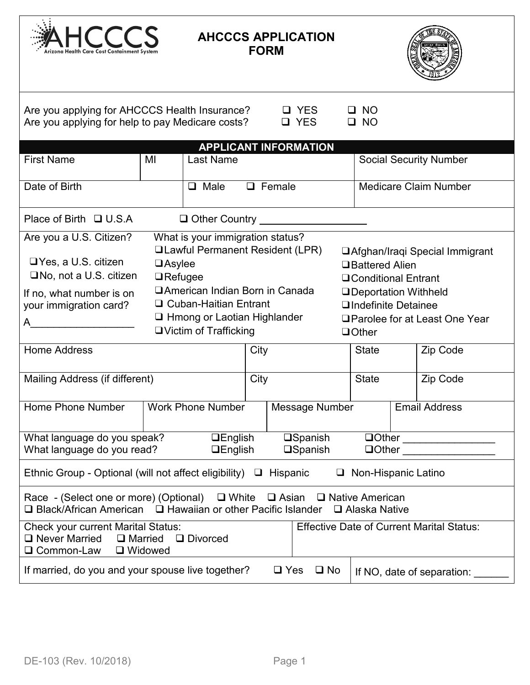

## **AHCCCS APPLICATION FORM**



| Are you applying for AHCCCS Health Insurance?<br><b>Q</b> YES<br><b>NO</b><br>Are you applying for help to pay Medicare costs?<br>□ YES<br><b>NO</b>                                                                                                                                                                                                                                                                                                                                                                                                                                                                                                   |    |                                                    |      |               |                                    |              |              |          |                                     |
|--------------------------------------------------------------------------------------------------------------------------------------------------------------------------------------------------------------------------------------------------------------------------------------------------------------------------------------------------------------------------------------------------------------------------------------------------------------------------------------------------------------------------------------------------------------------------------------------------------------------------------------------------------|----|----------------------------------------------------|------|---------------|------------------------------------|--------------|--------------|----------|-------------------------------------|
|                                                                                                                                                                                                                                                                                                                                                                                                                                                                                                                                                                                                                                                        |    | <b>APPLICANT INFORMATION</b>                       |      |               |                                    |              |              |          |                                     |
| <b>First Name</b>                                                                                                                                                                                                                                                                                                                                                                                                                                                                                                                                                                                                                                      | MI | <b>Last Name</b>                                   |      |               |                                    |              |              |          | <b>Social Security Number</b>       |
| Date of Birth                                                                                                                                                                                                                                                                                                                                                                                                                                                                                                                                                                                                                                          |    | $\Box$ Male                                        |      | $\Box$ Female |                                    |              |              |          | <b>Medicare Claim Number</b>        |
| Place of Birth $\Box$ U.S.A                                                                                                                                                                                                                                                                                                                                                                                                                                                                                                                                                                                                                            |    | Other Country <u>Network and State and Tenness</u> |      |               |                                    |              |              |          |                                     |
| Are you a U.S. Citizen?<br>What is your immigration status?<br><b>QLawful Permanent Resident (LPR)</b><br>□ Afghan/Iraqi Special Immigrant<br>$\Box$ Yes, a U.S. citizen<br>$\Box$ Asylee<br><b>□Battered Alien</b><br>$\square$ No, not a U.S. citizen<br>$\Box$ Refugee<br><b>□ Conditional Entrant</b><br>□American Indian Born in Canada<br>□Deportation Withheld<br>If no, what number is on<br>□ Cuban-Haitian Entrant<br>your immigration card?<br>□Indefinite Detainee<br>$\Box$ Hmong or Laotian Highlander<br>□ Parolee for at Least One Year<br>A<br>□ Victim of Trafficking<br>$\Box$ Other<br><b>Home Address</b><br>City<br><b>State</b> |    |                                                    |      |               |                                    |              | Zip Code     |          |                                     |
|                                                                                                                                                                                                                                                                                                                                                                                                                                                                                                                                                                                                                                                        |    |                                                    |      |               |                                    |              |              |          |                                     |
| Mailing Address (if different)                                                                                                                                                                                                                                                                                                                                                                                                                                                                                                                                                                                                                         |    |                                                    | City |               |                                    | <b>State</b> |              | Zip Code |                                     |
| Home Phone Number                                                                                                                                                                                                                                                                                                                                                                                                                                                                                                                                                                                                                                      |    | <b>Work Phone Number</b>                           |      |               | Message Number                     |              |              |          | <b>Email Address</b>                |
| What language do you speak?<br>What language do you read?                                                                                                                                                                                                                                                                                                                                                                                                                                                                                                                                                                                              |    | <b>QEnglish</b><br>$\Box$ English                  |      |               | <b>□Spanish</b><br><b>□Spanish</b> |              | $\Box$ Other |          | <u> 1980 - Jan Barbarat, manala</u> |
| Ethnic Group - Optional (will not affect eligibility) $\Box$ Hispanic<br>$\Box$ Non-Hispanic Latino                                                                                                                                                                                                                                                                                                                                                                                                                                                                                                                                                    |    |                                                    |      |               |                                    |              |              |          |                                     |
| Race - (Select one or more) (Optional)<br>$\Box$ White<br>$\Box$ Asian<br>□ Native American<br>□ Black/African American<br>$\Box$ Hawaiian or other Pacific Islander<br>$\Box$ Alaska Native                                                                                                                                                                                                                                                                                                                                                                                                                                                           |    |                                                    |      |               |                                    |              |              |          |                                     |
| <b>Effective Date of Current Marital Status:</b><br><b>Check your current Marital Status:</b><br>$\Box$ Never Married<br>$\Box$ Married<br>□ Divorced<br>Common-Law<br>□ Widowed                                                                                                                                                                                                                                                                                                                                                                                                                                                                       |    |                                                    |      |               |                                    |              |              |          |                                     |
| If married, do you and your spouse live together?<br>$\square$ No<br>$\Box$ Yes<br>If NO, date of separation:                                                                                                                                                                                                                                                                                                                                                                                                                                                                                                                                          |    |                                                    |      |               |                                    |              |              |          |                                     |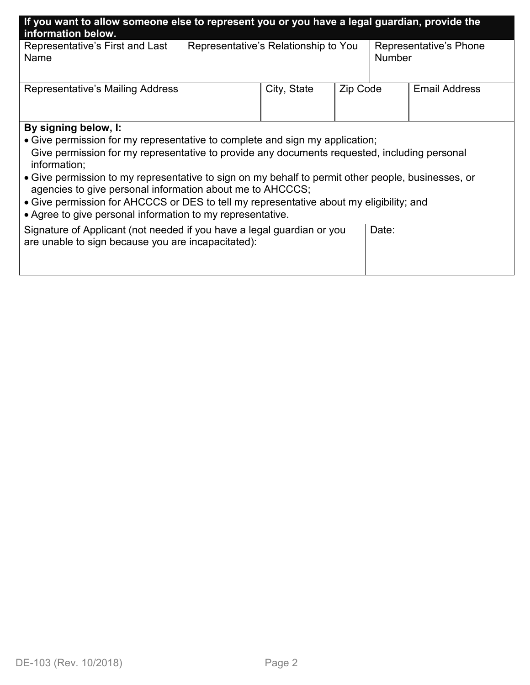| If you want to allow someone else to represent you or you have a legal guardian, provide the<br>information below.                                                                                                                                                                                                                                                                                                                                                                                                                               |                                                                                 |             |          |                      |  |  |  |
|--------------------------------------------------------------------------------------------------------------------------------------------------------------------------------------------------------------------------------------------------------------------------------------------------------------------------------------------------------------------------------------------------------------------------------------------------------------------------------------------------------------------------------------------------|---------------------------------------------------------------------------------|-------------|----------|----------------------|--|--|--|
| Representative's First and Last<br>Name                                                                                                                                                                                                                                                                                                                                                                                                                                                                                                          | Representative's Relationship to You<br>Representative's Phone<br><b>Number</b> |             |          |                      |  |  |  |
| Representative's Mailing Address                                                                                                                                                                                                                                                                                                                                                                                                                                                                                                                 |                                                                                 | City, State | Zip Code | <b>Email Address</b> |  |  |  |
| By signing below, I:<br>• Give permission for my representative to complete and sign my application;<br>Give permission for my representative to provide any documents requested, including personal<br>information;<br>• Give permission to my representative to sign on my behalf to permit other people, businesses, or<br>agencies to give personal information about me to AHCCCS;<br>• Give permission for AHCCCS or DES to tell my representative about my eligibility; and<br>• Agree to give personal information to my representative. |                                                                                 |             |          |                      |  |  |  |
| Signature of Applicant (not needed if you have a legal guardian or you<br>are unable to sign because you are incapacitated):                                                                                                                                                                                                                                                                                                                                                                                                                     |                                                                                 |             |          | Date:                |  |  |  |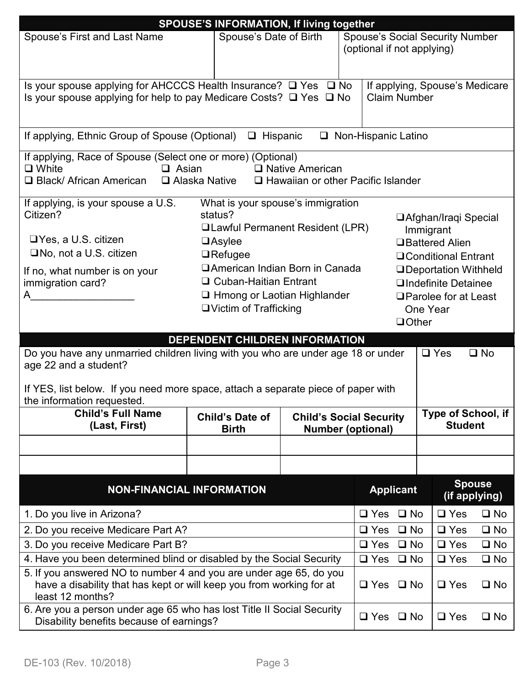|                                                                                                                                                                                                                                                                                                                                                                                                                                                                                                                                                                                                                                                      | <b>SPOUSE'S INFORMATION, If living together</b>                                                                                                                          |                               |  |                            |                           |  |              |  |
|------------------------------------------------------------------------------------------------------------------------------------------------------------------------------------------------------------------------------------------------------------------------------------------------------------------------------------------------------------------------------------------------------------------------------------------------------------------------------------------------------------------------------------------------------------------------------------------------------------------------------------------------------|--------------------------------------------------------------------------------------------------------------------------------------------------------------------------|-------------------------------|--|----------------------------|---------------------------|--|--------------|--|
| Spouse's Date of Birth<br><b>Spouse's First and Last Name</b><br><b>Spouse's Social Security Number</b><br>(optional if not applying)                                                                                                                                                                                                                                                                                                                                                                                                                                                                                                                |                                                                                                                                                                          |                               |  |                            |                           |  |              |  |
| Is your spouse applying for AHCCCS Health Insurance? □ Yes □ No<br>If applying, Spouse's Medicare<br>Is your spouse applying for help to pay Medicare Costs? $\Box$ Yes $\Box$ No<br><b>Claim Number</b>                                                                                                                                                                                                                                                                                                                                                                                                                                             |                                                                                                                                                                          |                               |  |                            |                           |  |              |  |
| If applying, Ethnic Group of Spouse (Optional)                                                                                                                                                                                                                                                                                                                                                                                                                                                                                                                                                                                                       | $\Box$                                                                                                                                                                   | Hispanic                      |  | $\Box$ Non-Hispanic Latino |                           |  |              |  |
| $\Box$ White<br>□ Black/ African American                                                                                                                                                                                                                                                                                                                                                                                                                                                                                                                                                                                                            | If applying, Race of Spouse (Select one or more) (Optional)<br>$\Box$ Asian<br>□ Native American<br>$\square$ Alaska Native<br>$\Box$ Hawaiian or other Pacific Islander |                               |  |                            |                           |  |              |  |
| What is your spouse's immigration<br>If applying, is your spouse a U.S.<br>Citizen?<br>status?<br><b>□Afghan/Iraqi Special</b><br><b>QLawful Permanent Resident (LPR)</b><br>Immigrant<br>$\Box$ Yes, a U.S. citizen<br>$\Box$ Asylee<br><b>□Battered Alien</b><br>$\Box$ No, not a U.S. citizen<br>$\Box$ Refugee<br>□ Conditional Entrant<br>□ American Indian Born in Canada<br>□Deportation Withheld<br>If no, what number is on your<br>□ Cuban-Haitian Entrant<br><b>QIndefinite Detainee</b><br>immigration card?<br>$\Box$ Hmong or Laotian Highlander<br>A<br>□ Parolee for at Least<br>□ Victim of Trafficking<br>One Year<br>$\Box$ Other |                                                                                                                                                                          |                               |  |                            |                           |  |              |  |
|                                                                                                                                                                                                                                                                                                                                                                                                                                                                                                                                                                                                                                                      | DEPENDENT CHILDREN INFORMATION                                                                                                                                           |                               |  |                            |                           |  |              |  |
| Do you have any unmarried children living with you who are under age 18 or under<br>age 22 and a student?                                                                                                                                                                                                                                                                                                                                                                                                                                                                                                                                            |                                                                                                                                                                          |                               |  |                            | $\Box$ Yes                |  | $\square$ No |  |
| If YES, list below. If you need more space, attach a separate piece of paper with<br>the information requested.                                                                                                                                                                                                                                                                                                                                                                                                                                                                                                                                      |                                                                                                                                                                          |                               |  |                            |                           |  |              |  |
| <b>Child's Full Name</b><br>(Last, First)                                                                                                                                                                                                                                                                                                                                                                                                                                                                                                                                                                                                            | <b>Child's Social Security</b><br><b>Number (optional)</b>                                                                                                               |                               |  | <b>Student</b>             | <b>Type of School, if</b> |  |              |  |
|                                                                                                                                                                                                                                                                                                                                                                                                                                                                                                                                                                                                                                                      |                                                                                                                                                                          |                               |  |                            |                           |  |              |  |
|                                                                                                                                                                                                                                                                                                                                                                                                                                                                                                                                                                                                                                                      |                                                                                                                                                                          |                               |  |                            |                           |  |              |  |
| <b>Spouse</b><br><b>Applicant</b><br><b>NON-FINANCIAL INFORMATION</b><br>(if applying)                                                                                                                                                                                                                                                                                                                                                                                                                                                                                                                                                               |                                                                                                                                                                          |                               |  |                            |                           |  |              |  |
| 1. Do you live in Arizona?                                                                                                                                                                                                                                                                                                                                                                                                                                                                                                                                                                                                                           |                                                                                                                                                                          | $\square$ Yes<br>$\square$ No |  | $\Box$ Yes                 | $\square$ No              |  |              |  |
| 2. Do you receive Medicare Part A?                                                                                                                                                                                                                                                                                                                                                                                                                                                                                                                                                                                                                   |                                                                                                                                                                          | $\Box$ Yes<br>$\square$ No    |  | $\Box$ Yes                 | $\square$ No              |  |              |  |
| 3. Do you receive Medicare Part B?                                                                                                                                                                                                                                                                                                                                                                                                                                                                                                                                                                                                                   |                                                                                                                                                                          | $\Box$ Yes<br>$\square$ No    |  | $\Box$ Yes                 | $\square$ No              |  |              |  |
| 4. Have you been determined blind or disabled by the Social Security                                                                                                                                                                                                                                                                                                                                                                                                                                                                                                                                                                                 |                                                                                                                                                                          | $\Box$ Yes<br>$\square$ No    |  | $\Box$ Yes                 | $\square$ No              |  |              |  |
| 5. If you answered NO to number 4 and you are under age 65, do you<br>have a disability that has kept or will keep you from working for at<br>least 12 months?                                                                                                                                                                                                                                                                                                                                                                                                                                                                                       |                                                                                                                                                                          | $\Box$ Yes $\Box$ No          |  | $\Box$ Yes                 | $\square$ No              |  |              |  |
| 6. Are you a person under age 65 who has lost Title II Social Security<br>Disability benefits because of earnings?                                                                                                                                                                                                                                                                                                                                                                                                                                                                                                                                   |                                                                                                                                                                          | $\square$ No<br>$\Box$ Yes    |  | $\Box$ Yes                 | $\square$ No              |  |              |  |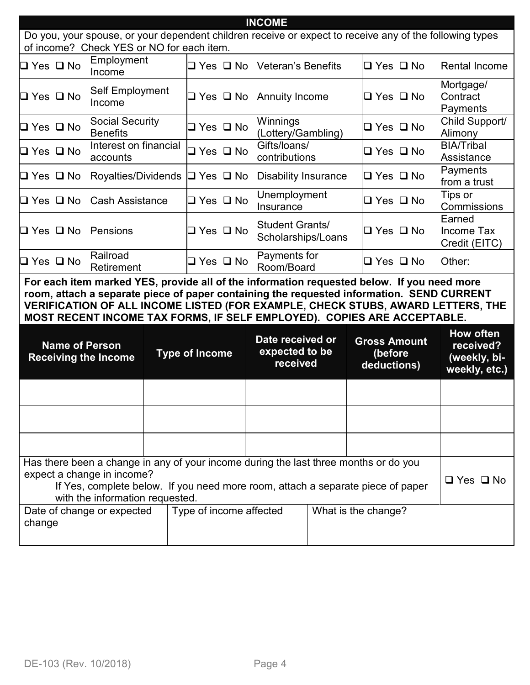| <b>INCOME</b>                                                                          |                                                                                                                                                                                                                                                                                                                                                       |                            |  |                                              |  |                      |  |                                       |  |
|----------------------------------------------------------------------------------------|-------------------------------------------------------------------------------------------------------------------------------------------------------------------------------------------------------------------------------------------------------------------------------------------------------------------------------------------------------|----------------------------|--|----------------------------------------------|--|----------------------|--|---------------------------------------|--|
|                                                                                        | Do you, your spouse, or your dependent children receive or expect to receive any of the following types<br>of income? Check YES or NO for each item.                                                                                                                                                                                                  |                            |  |                                              |  |                      |  |                                       |  |
| □ Yes □ No                                                                             | Employment<br>Income                                                                                                                                                                                                                                                                                                                                  |                            |  | $\Box$ Yes $\Box$ No Veteran's Benefits      |  | $\Box$ Yes $\Box$ No |  | <b>Rental Income</b>                  |  |
| $\Box$ Yes $\Box$ No                                                                   | Self Employment<br>Income                                                                                                                                                                                                                                                                                                                             |                            |  | $\Box$ Yes $\Box$ No Annuity Income          |  | $\Box$ Yes $\Box$ No |  | Mortgage/<br>Contract<br>Payments     |  |
| $\square$ Yes $\square$ No                                                             | <b>Social Security</b><br><b>Benefits</b>                                                                                                                                                                                                                                                                                                             | $\Box$ Yes $\Box$ No       |  | Winnings<br>(Lottery/Gambling)               |  | $\Box$ Yes $\Box$ No |  | Child Support/<br>Alimony             |  |
| $\Box$ Yes $\Box$ No                                                                   | Interest on financial<br>accounts                                                                                                                                                                                                                                                                                                                     | $\Box$ Yes $\Box$ No       |  | Gifts/loans/<br>contributions                |  | $\Box$ Yes $\Box$ No |  | <b>BIA/Tribal</b><br>Assistance       |  |
| $\square$ Yes $\square$ No                                                             | Royalties/Dividends                                                                                                                                                                                                                                                                                                                                   | $\Box$ Yes $\Box$ No       |  | <b>Disability Insurance</b>                  |  | $\Box$ Yes $\Box$ No |  | Payments<br>from a trust              |  |
| $\square$ Yes $\square$ No                                                             | <b>Cash Assistance</b>                                                                                                                                                                                                                                                                                                                                | $\Box$ Yes $\Box$ No       |  | Unemployment<br>Insurance                    |  | $\Box$ Yes $\Box$ No |  | Tips or<br>Commissions                |  |
| $\Box$ Yes $\Box$ No Pensions                                                          |                                                                                                                                                                                                                                                                                                                                                       | $\square$ Yes $\square$ No |  | <b>Student Grants/</b><br>Scholarships/Loans |  | $\Box$ Yes $\Box$ No |  | Earned<br>Income Tax<br>Credit (EITC) |  |
| □ Yes □ No                                                                             | Railroad<br>Retirement                                                                                                                                                                                                                                                                                                                                | $\Box$ Yes $\Box$ No       |  | Payments for<br>Room/Board                   |  | $\Box$ Yes $\Box$ No |  | Other:                                |  |
|                                                                                        | For each item marked YES, provide all of the information requested below. If you need more<br>room, attach a separate piece of paper containing the requested information. SEND CURRENT<br>VERIFICATION OF ALL INCOME LISTED (FOR EXAMPLE, CHECK STUBS, AWARD LETTERS, THE<br>MOST RECENT INCOME TAX FORMS, IF SELF EMPLOYED). COPIES ARE ACCEPTABLE. |                            |  |                                              |  |                      |  |                                       |  |
|                                                                                        | <b>How often</b><br>Date received or<br><b>Gross Amount</b><br><b>Name of Person</b><br>received?<br>expected to be<br><b>Type of Income</b><br>(before<br><b>Receiving the Income</b><br>(weekly, bi-<br>received<br>deductions)<br>weekly, etc.)                                                                                                    |                            |  |                                              |  |                      |  |                                       |  |
|                                                                                        |                                                                                                                                                                                                                                                                                                                                                       |                            |  |                                              |  |                      |  |                                       |  |
|                                                                                        |                                                                                                                                                                                                                                                                                                                                                       |                            |  |                                              |  |                      |  |                                       |  |
|                                                                                        |                                                                                                                                                                                                                                                                                                                                                       |                            |  |                                              |  |                      |  |                                       |  |
|                                                                                        | Has there been a change in any of your income during the last three months or do you<br>expect a change in income?<br>$\Box$ Yes $\Box$ No<br>If Yes, complete below. If you need more room, attach a separate piece of paper<br>with the information requested.                                                                                      |                            |  |                                              |  |                      |  |                                       |  |
| Type of income affected<br>Date of change or expected<br>What is the change?<br>change |                                                                                                                                                                                                                                                                                                                                                       |                            |  |                                              |  |                      |  |                                       |  |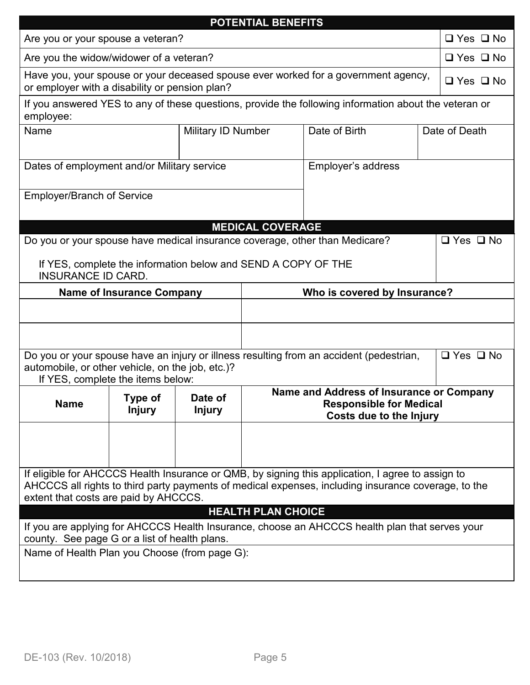|                                                                                                                                                                                                                                                   |                                 |                          | <b>POTENTIAL BENEFITS</b> |                                                                                                       |               |                      |  |  |
|---------------------------------------------------------------------------------------------------------------------------------------------------------------------------------------------------------------------------------------------------|---------------------------------|--------------------------|---------------------------|-------------------------------------------------------------------------------------------------------|---------------|----------------------|--|--|
| Are you or your spouse a veteran?                                                                                                                                                                                                                 |                                 |                          |                           |                                                                                                       |               | $\Box$ Yes $\Box$ No |  |  |
| Are you the widow/widower of a veteran?                                                                                                                                                                                                           |                                 |                          |                           |                                                                                                       |               | $\Box$ Yes $\Box$ No |  |  |
| Have you, your spouse or your deceased spouse ever worked for a government agency,<br>or employer with a disability or pension plan?                                                                                                              |                                 |                          |                           |                                                                                                       |               | $\Box$ Yes $\Box$ No |  |  |
| If you answered YES to any of these questions, provide the following information about the veteran or<br>employee:                                                                                                                                |                                 |                          |                           |                                                                                                       |               |                      |  |  |
| Name                                                                                                                                                                                                                                              |                                 | Military ID Number       |                           | Date of Birth                                                                                         | Date of Death |                      |  |  |
| Dates of employment and/or Military service                                                                                                                                                                                                       |                                 |                          |                           | Employer's address                                                                                    |               |                      |  |  |
| <b>Employer/Branch of Service</b>                                                                                                                                                                                                                 |                                 |                          |                           |                                                                                                       |               |                      |  |  |
|                                                                                                                                                                                                                                                   |                                 |                          |                           |                                                                                                       |               |                      |  |  |
| <b>MEDICAL COVERAGE</b><br>$\Box$ Yes $\Box$ No<br>Do you or your spouse have medical insurance coverage, other than Medicare?<br>If YES, complete the information below and SEND A COPY OF THE<br><b>INSURANCE ID CARD.</b>                      |                                 |                          |                           |                                                                                                       |               |                      |  |  |
| Who is covered by Insurance?<br><b>Name of Insurance Company</b>                                                                                                                                                                                  |                                 |                          |                           |                                                                                                       |               |                      |  |  |
|                                                                                                                                                                                                                                                   |                                 |                          |                           |                                                                                                       |               |                      |  |  |
|                                                                                                                                                                                                                                                   |                                 |                          |                           |                                                                                                       |               |                      |  |  |
| automobile, or other vehicle, on the job, etc.)?<br>If YES, complete the items below:                                                                                                                                                             |                                 |                          |                           | Do you or your spouse have an injury or illness resulting from an accident (pedestrian,               |               | $\Box$ Yes $\Box$ No |  |  |
| <b>Name</b>                                                                                                                                                                                                                                       | <b>Type of</b><br><b>Injury</b> | Date of<br><b>Injury</b> |                           | Name and Address of Insurance or Company<br><b>Responsible for Medical</b><br>Costs due to the Injury |               |                      |  |  |
|                                                                                                                                                                                                                                                   |                                 |                          |                           |                                                                                                       |               |                      |  |  |
| If eligible for AHCCCS Health Insurance or QMB, by signing this application, I agree to assign to<br>AHCCCS all rights to third party payments of medical expenses, including insurance coverage, to the<br>extent that costs are paid by AHCCCS. |                                 |                          |                           |                                                                                                       |               |                      |  |  |
|                                                                                                                                                                                                                                                   |                                 |                          | <b>HEALTH PLAN CHOICE</b> |                                                                                                       |               |                      |  |  |
| If you are applying for AHCCCS Health Insurance, choose an AHCCCS health plan that serves your                                                                                                                                                    |                                 |                          |                           |                                                                                                       |               |                      |  |  |
| county. See page G or a list of health plans.<br>Name of Health Plan you Choose (from page G):                                                                                                                                                    |                                 |                          |                           |                                                                                                       |               |                      |  |  |
|                                                                                                                                                                                                                                                   |                                 |                          |                           |                                                                                                       |               |                      |  |  |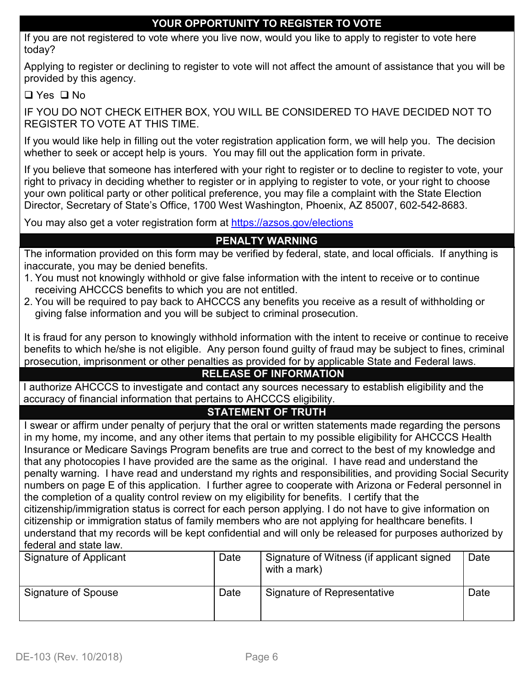## **YOUR OPPORTUNITY TO REGISTER TO VOTE**

If you are not registered to vote where you live now, would you like to apply to register to vote here today?

Applying to register or declining to register to vote will not affect the amount of assistance that you will be provided by this agency.

#### $\Box$  Yes  $\Box$  No

IF YOU DO NOT CHECK EITHER BOX, YOU WILL BE CONSIDERED TO HAVE DECIDED NOT TO REGISTER TO VOTE AT THIS TIME.

If you would like help in filling out the voter registration application form, we will help you. The decision whether to seek or accept help is yours. You may fill out the application form in private.

If you believe that someone has interfered with your right to register or to decline to register to vote, your right to privacy in deciding whether to register or in applying to register to vote, or your right to choose your own political party or other political preference, you may file a complaint with the State Election Director, Secretary of State's Office, 1700 West Washington, Phoenix, AZ 85007, 602-542-8683.

You may also get a voter registration form at<https://azsos.gov/elections>

## **PENALTY WARNING**

The information provided on this form may be verified by federal, state, and local officials. If anything is inaccurate, you may be denied benefits.

- 1. You must not knowingly withhold or give false information with the intent to receive or to continue receiving AHCCCS benefits to which you are not entitled.
- 2. You will be required to pay back to AHCCCS any benefits you receive as a result of withholding or giving false information and you will be subject to criminal prosecution.

It is fraud for any person to knowingly withhold information with the intent to receive or continue to receive benefits to which he/she is not eligible. Any person found guilty of fraud may be subject to fines, criminal prosecution, imprisonment or other penalties as provided for by applicable State and Federal laws.

## **RELEASE OF INFORMATION**

I authorize AHCCCS to investigate and contact any sources necessary to establish eligibility and the accuracy of financial information that pertains to AHCCCS eligibility.

## **STATEMENT OF TRUTH**

I swear or affirm under penalty of perjury that the oral or written statements made regarding the persons in my home, my income, and any other items that pertain to my possible eligibility for AHCCCS Health Insurance or Medicare Savings Program benefits are true and correct to the best of my knowledge and that any photocopies I have provided are the same as the original. I have read and understand the penalty warning. I have read and understand my rights and responsibilities, and providing Social Security numbers on page E of this application. I further agree to cooperate with Arizona or Federal personnel in the completion of a quality control review on my eligibility for benefits. I certify that the citizenship/immigration status is correct for each person applying. I do not have to give information on citizenship or immigration status of family members who are not applying for healthcare benefits. I understand that my records will be kept confidential and will only be released for purposes authorized by federal and state law.

| Signature of Applicant | Date | Signature of Witness (if applicant signed<br>with a mark) | Date |
|------------------------|------|-----------------------------------------------------------|------|
| Signature of Spouse    | Date | Signature of Representative                               | Date |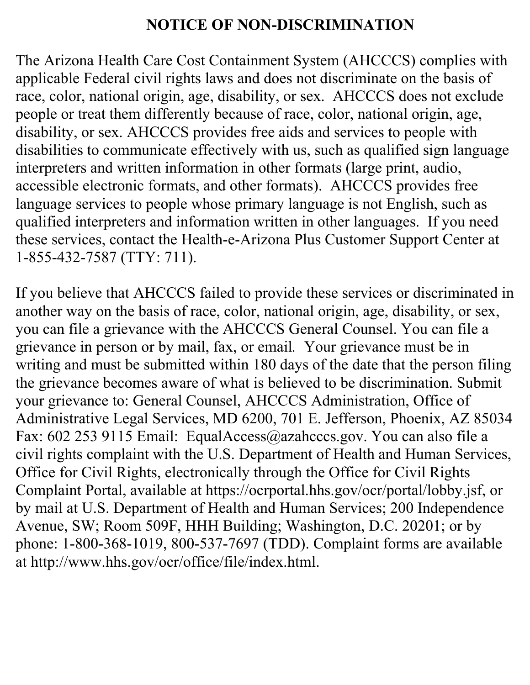## **NOTICE OF NON-DISCRIMINATION**

The Arizona Health Care Cost Containment System (AHCCCS) complies with applicable Federal civil rights laws and does not discriminate on the basis of race, color, national origin, age, disability, or sex. AHCCCS does not exclude people or treat them differently because of race, color, national origin, age, disability, or sex. AHCCCS provides free aids and services to people with disabilities to communicate effectively with us, such as qualified sign language interpreters and written information in other formats (large print, audio, accessible electronic formats, and other formats). AHCCCS provides free language services to people whose primary language is not English, such as qualified interpreters and information written in other languages. If you need these services, contact the Health-e-Arizona Plus Customer Support Center at 1-855-432-7587 (TTY: 711).

If you believe that AHCCCS failed to provide these services or discriminated in another way on the basis of race, color, national origin, age, disability, or sex, you can file a grievance with the AHCCCS General Counsel. You can file a grievance in person or by mail, fax, or email*.* Your grievance must be in writing and must be submitted within 180 days of the date that the person filing the grievance becomes aware of what is believed to be discrimination. Submit your grievance to: General Counsel, AHCCCS Administration, Office of Administrative Legal Services, MD 6200, 701 E. Jefferson, Phoenix, AZ 85034 Fax: 602 253 9115 Email: EqualAccess@azahcccs.gov. You can also file a civil rights complaint with the U.S. Department of Health and Human Services, Office for Civil Rights, electronically through the Office for Civil Rights Complaint Portal, available at https://ocrportal.hhs.gov/ocr/portal/lobby.jsf, or by mail at U.S. Department of Health and Human Services; 200 Independence Avenue, SW; Room 509F, HHH Building; Washington, D.C. 20201; or by phone: 1-800-368-1019, 800-537-7697 (TDD). Complaint forms are available at http://www.hhs.gov/ocr/office/file/index.html.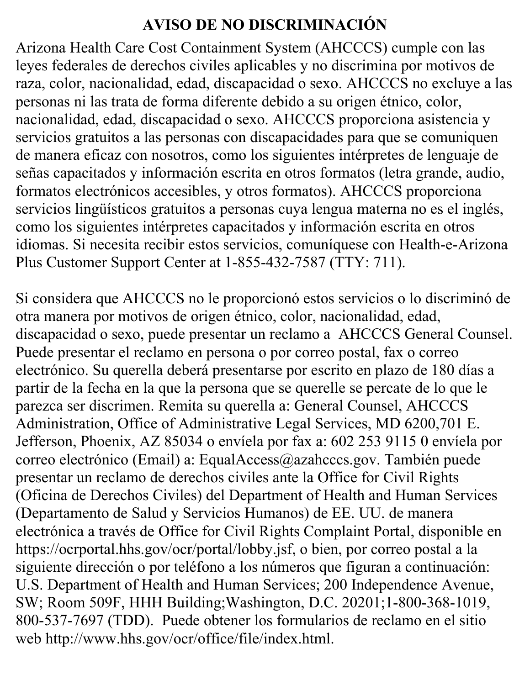# **AVISO DE NO DISCRIMINACIÓN**

Arizona Health Care Cost Containment System (AHCCCS) cumple con las leyes federales de derechos civiles aplicables y no discrimina por motivos de raza, color, nacionalidad, edad, discapacidad o sexo. AHCCCS no excluye a las personas ni las trata de forma diferente debido a su origen étnico, color, nacionalidad, edad, discapacidad o sexo. AHCCCS proporciona asistencia y servicios gratuitos a las personas con discapacidades para que se comuniquen de manera eficaz con nosotros, como los siguientes intérpretes de lenguaje de señas capacitados y información escrita en otros formatos (letra grande, audio, formatos electrónicos accesibles, y otros formatos). AHCCCS proporciona servicios lingüísticos gratuitos a personas cuya lengua materna no es el inglés, como los siguientes intérpretes capacitados y información escrita en otros idiomas. Si necesita recibir estos servicios, comuníquese con Health-e-Arizona Plus Customer Support Center at 1-855-432-7587 (TTY: 711).

Si considera que AHCCCS no le proporcionó estos servicios o lo discriminó de otra manera por motivos de origen étnico, color, nacionalidad, edad, discapacidad o sexo, puede presentar un reclamo a AHCCCS General Counsel. Puede presentar el reclamo en persona o por correo postal, fax o correo electrónico. Su querella deberá presentarse por escrito en plazo de 180 días a partir de la fecha en la que la persona que se querelle se percate de lo que le parezca ser discrimen. Remita su querella a: General Counsel, AHCCCS Administration, Office of Administrative Legal Services, MD 6200,701 E. Jefferson, Phoenix, AZ 85034 o envíela por fax a: 602 253 9115 0 envíela por correo electrónico (Email) a: EqualAccess@azahcccs.gov. También puede presentar un reclamo de derechos civiles ante la Office for Civil Rights (Oficina de Derechos Civiles) del Department of Health and Human Services (Departamento de Salud y Servicios Humanos) de EE. UU. de manera electrónica a través de Office for Civil Rights Complaint Portal, disponible en https://ocrportal.hhs.gov/ocr/portal/lobby.jsf, o bien, por correo postal a la siguiente dirección o por teléfono a los números que figuran a continuación: U.S. Department of Health and Human Services; 200 Independence Avenue, SW; Room 509F, HHH Building;Washington, D.C. 20201;1-800-368-1019, 800-537-7697 (TDD). Puede obtener los formularios de reclamo en el sitio web http://www.hhs.gov/ocr/office/file/index.html.